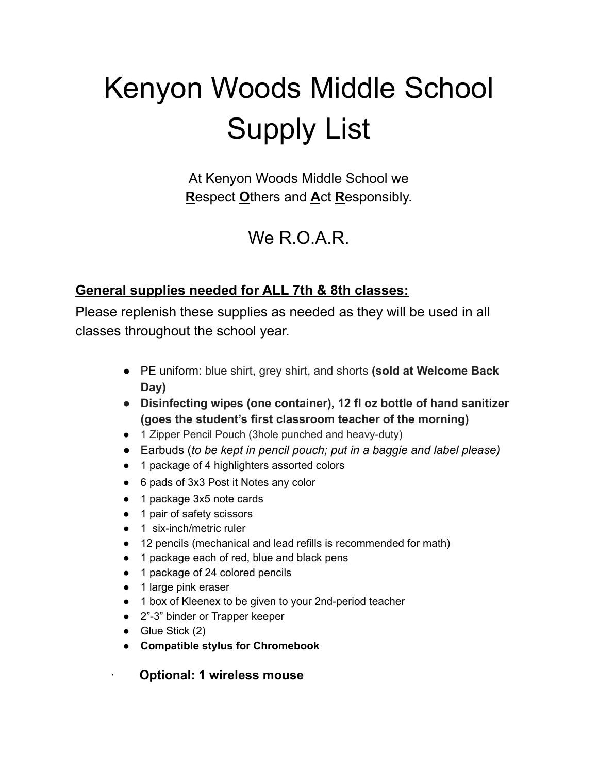# Kenyon Woods Middle School Supply List

At Kenyon Woods Middle School we **R**espect **O**thers and **A**ct **R**esponsibly.

# We R.O.A.R.

#### **General supplies needed for ALL 7th & 8th classes:**

Please replenish these supplies as needed as they will be used in all classes throughout the school year.

- PE uniform: blue shirt, grey shirt, and shorts **(sold at Welcome Back Day)**
- **● Disinfecting wipes (one container), 12 fl oz bottle of hand sanitizer (goes the student's first classroom teacher of the morning)**
- 1 Zipper Pencil Pouch (3hole punched and heavy-duty)
- Earbuds (*to be kept in pencil pouch; put in a baggie and label please)*
- 1 package of 4 highlighters assorted colors
- 6 pads of 3x3 Post it Notes any color
- 1 package 3x5 note cards
- 1 pair of safety scissors
- 1 six-inch/metric ruler
- 12 pencils (mechanical and lead refills is recommended for math)
- 1 package each of red, blue and black pens
- 1 package of 24 colored pencils
- 1 large pink eraser
- 1 box of Kleenex to be given to your 2nd-period teacher
- 2"-3" binder or Trapper keeper
- $\bullet$  Glue Stick (2)
- **● Compatible stylus for Chromebook**
	- · **Optional: 1 wireless mouse**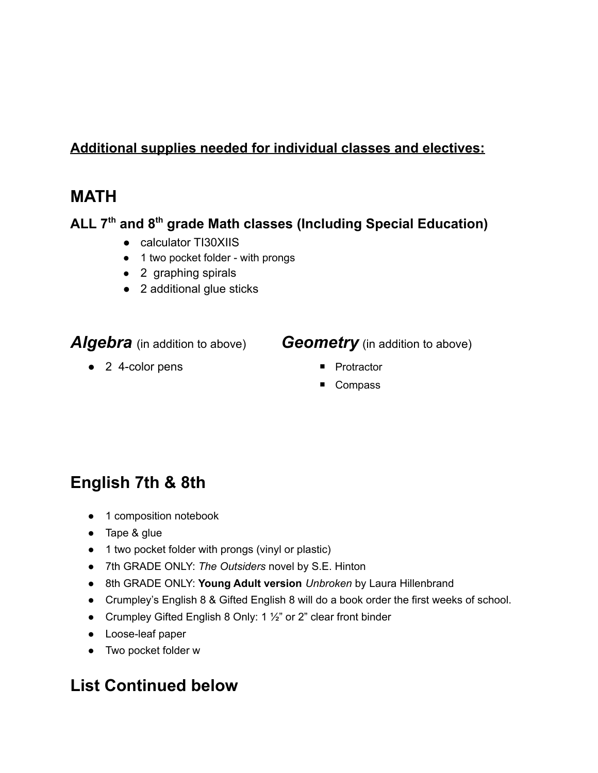#### **Additional supplies needed for individual classes and electives:**

#### **MATH**

#### **ALL 7 th and 8 th grade Math classes (Including Special Education)**

- calculator TI30XIIS
- 1 two pocket folder with prongs
- 2 graphing spirals
- 2 additional glue sticks

#### *Algebra* (in addition to above) *Geometry* (in addition to above)

- 2 4-color pens Protractor
- -
	- Compass

#### **English 7th & 8th**

- 1 composition notebook
- Tape & glue
- 1 two pocket folder with prongs (vinyl or plastic)
- 7th GRADE ONLY: *The Outsiders* novel by S.E. Hinton
- 8th GRADE ONLY: **Young Adult version** *Unbroken* by Laura Hillenbrand
- Crumpley's English 8 & Gifted English 8 will do a book order the first weeks of school.
- Crumpley Gifted English 8 Only: 1 ½" or 2" clear front binder
- Loose-leaf paper
- Two pocket folder w

#### **List Continued below**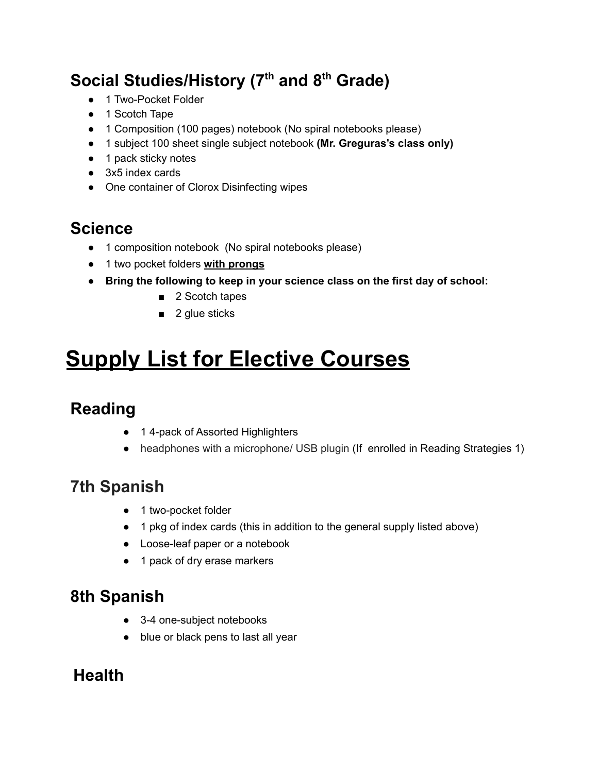# **Social Studies/History (7 th and 8 th Grade)**

- 1 Two-Pocket Folder
- 1 Scotch Tape
- 1 Composition (100 pages) notebook (No spiral notebooks please)
- 1 subject 100 sheet single subject notebook **(Mr. Greguras's class only)**
- 1 pack sticky notes
- 3x5 index cards
- One container of Clorox Disinfecting wipes

#### **Science**

- 1 composition notebook (No spiral notebooks please)
- 1 two pocket folders **with prongs**
- **● Bring the following to keep in your science class on the first day of school:**
	- 2 Scotch tapes
	- 2 glue sticks

# **Supply List for Elective Courses**

## **Reading**

- 1 4-pack of Assorted Highlighters
- headphones with a microphone/ USB plugin (If enrolled in Reading Strategies 1)

## **7th Spanish**

- 1 two-pocket folder
- 1 pkg of index cards (this in addition to the general supply listed above)
- Loose-leaf paper or a notebook
- 1 pack of dry erase markers

## **8th Spanish**

- 3-4 one-subject notebooks
- blue or black pens to last all year

#### **Health**